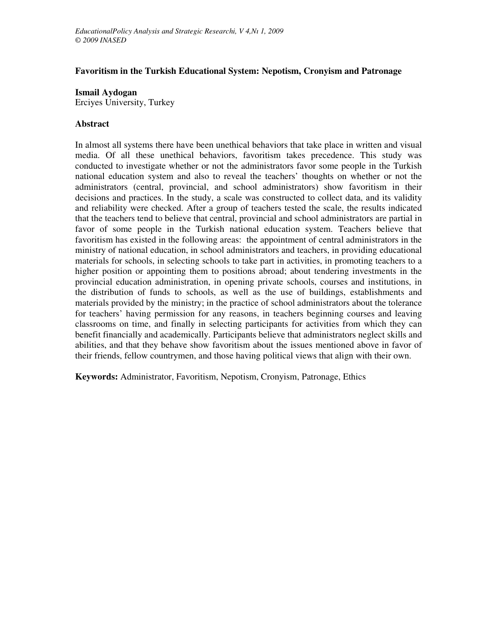# **Favoritism in the Turkish Educational System: Nepotism, Cronyism and Patronage**

**Ismail Aydogan**

Erciyes University, Turkey

## **Abstract**

In almost all systems there have been unethical behaviors that take place in written and visual media. Of all these unethical behaviors, favoritism takes precedence. This study was conducted to investigate whether or not the administrators favor some people in the Turkish national education system and also to reveal the teachers' thoughts on whether or not the administrators (central, provincial, and school administrators) show favoritism in their decisions and practices. In the study, a scale was constructed to collect data, and its validity and reliability were checked. After a group of teachers tested the scale, the results indicated that the teachers tend to believe that central, provincial and school administrators are partial in favor of some people in the Turkish national education system. Teachers believe that favoritism has existed in the following areas: the appointment of central administrators in the ministry of national education, in school administrators and teachers, in providing educational materials for schools, in selecting schools to take part in activities, in promoting teachers to a higher position or appointing them to positions abroad; about tendering investments in the provincial education administration, in opening private schools, courses and institutions, in the distribution of funds to schools, as well as the use of buildings, establishments and materials provided by the ministry; in the practice of school administrators about the tolerance for teachers' having permission for any reasons, in teachers beginning courses and leaving classrooms on time, and finally in selecting participants for activities from which they can benefit financially and academically. Participants believe that administrators neglect skills and abilities, and that they behave show favoritism about the issues mentioned above in favor of their friends, fellow countrymen, and those having political views that align with their own.

**Keywords:** Administrator, Favoritism, Nepotism, Cronyism, Patronage, Ethics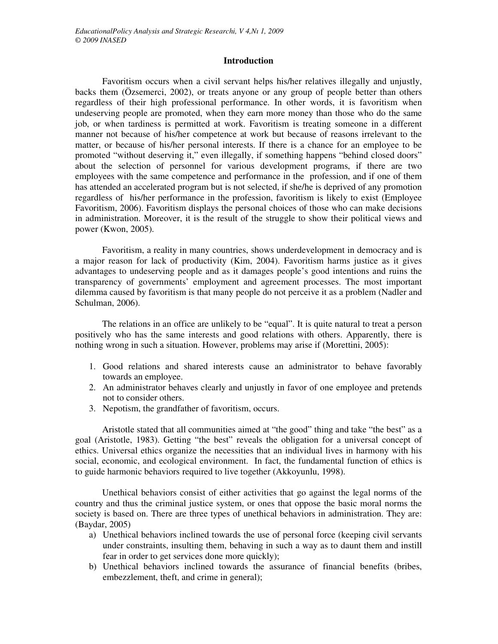### **Introduction**

Favoritism occurs when a civil servant helps his/her relatives illegally and unjustly, backs them (Özsemerci, 2002), or treats anyone or any group of people better than others regardless of their high professional performance. In other words, it is favoritism when undeserving people are promoted, when they earn more money than those who do the same job, or when tardiness is permitted at work. Favoritism is treating someone in a different manner not because of his/her competence at work but because of reasons irrelevant to the matter, or because of his/her personal interests. If there is a chance for an employee to be promoted "without deserving it," even illegally, if something happens "behind closed doors" about the selection of personnel for various development programs, if there are two employees with the same competence and performance in the profession, and if one of them has attended an accelerated program but is not selected, if she/he is deprived of any promotion regardless of his/her performance in the profession, favoritism is likely to exist (Employee Favoritism, 2006). Favoritism displays the personal choices of those who can make decisions in administration. Moreover, it is the result of the struggle to show their political views and power (Kwon, 2005).

Favoritism, a reality in many countries, shows underdevelopment in democracy and is a major reason for lack of productivity (Kim, 2004). Favoritism harms justice as it gives advantages to undeserving people and as it damages people's good intentions and ruins the transparency of governments' employment and agreement processes. The most important dilemma caused by favoritism is that many people do not perceive it as a problem (Nadler and Schulman, 2006).

The relations in an office are unlikely to be "equal". It is quite natural to treat a person positively who has the same interests and good relations with others. Apparently, there is nothing wrong in such a situation. However, problems may arise if (Morettini, 2005):

- 1. Good relations and shared interests cause an administrator to behave favorably towards an employee.
- 2. An administrator behaves clearly and unjustly in favor of one employee and pretends not to consider others.
- 3. Nepotism, the grandfather of favoritism, occurs.

Aristotle stated that all communities aimed at "the good" thing and take "the best" as a goal (Aristotle, 1983). Getting "the best" reveals the obligation for a universal concept of ethics. Universal ethics organize the necessities that an individual lives in harmony with his social, economic, and ecological environment. In fact, the fundamental function of ethics is to guide harmonic behaviors required to live together (Akkoyunlu, 1998).

Unethical behaviors consist of either activities that go against the legal norms of the country and thus the criminal justice system, or ones that oppose the basic moral norms the society is based on. There are three types of unethical behaviors in administration. They are: (Baydar, 2005)

- a) Unethical behaviors inclined towards the use of personal force (keeping civil servants under constraints, insulting them, behaving in such a way as to daunt them and instill fear in order to get services done more quickly);
- b) Unethical behaviors inclined towards the assurance of financial benefits (bribes, embezzlement, theft, and crime in general);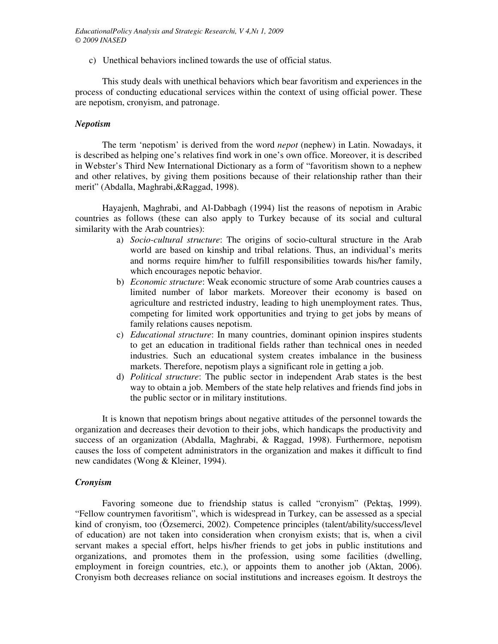c) Unethical behaviors inclined towards the use of official status.

This study deals with unethical behaviors which bear favoritism and experiences in the process of conducting educational services within the context of using official power. These are nepotism, cronyism, and patronage.

### *Nepotism*

The term 'nepotism' is derived from the word *nepot* (nephew) in Latin. Nowadays, it is described as helping one's relatives find work in one's own office. Moreover, it is described in Webster's Third New International Dictionary as a form of "favoritism shown to a nephew and other relatives, by giving them positions because of their relationship rather than their merit" (Abdalla, Maghrabi,&Raggad, 1998).

Hayajenh, Maghrabi, and Al-Dabbagh (1994) list the reasons of nepotism in Arabic countries as follows (these can also apply to Turkey because of its social and cultural similarity with the Arab countries):

- a) *Socio-cultural structure*: The origins of socio-cultural structure in the Arab world are based on kinship and tribal relations. Thus, an individual's merits and norms require him/her to fulfill responsibilities towards his/her family, which encourages nepotic behavior.
- b) *Economic structure*: Weak economic structure of some Arab countries causes a limited number of labor markets. Moreover their economy is based on agriculture and restricted industry, leading to high unemployment rates. Thus, competing for limited work opportunities and trying to get jobs by means of family relations causes nepotism.
- c) *Educational structure*: In many countries, dominant opinion inspires students to get an education in traditional fields rather than technical ones in needed industries. Such an educational system creates imbalance in the business markets. Therefore, nepotism plays a significant role in getting a job.
- d) *Political structure*: The public sector in independent Arab states is the best way to obtain a job. Members of the state help relatives and friends find jobs in the public sector or in military institutions.

It is known that nepotism brings about negative attitudes of the personnel towards the organization and decreases their devotion to their jobs, which handicaps the productivity and success of an organization (Abdalla, Maghrabi, & Raggad, 1998). Furthermore, nepotism causes the loss of competent administrators in the organization and makes it difficult to find new candidates (Wong & Kleiner, 1994).

# *Cronyism*

Favoring someone due to friendship status is called "cronyism" (Pektaş, 1999). "Fellow countrymen favoritism", which is widespread in Turkey, can be assessed as a special kind of cronyism, too (Özsemerci, 2002). Competence principles (talent/ability/success/level of education) are not taken into consideration when cronyism exists; that is, when a civil servant makes a special effort, helps his/her friends to get jobs in public institutions and organizations, and promotes them in the profession, using some facilities (dwelling, employment in foreign countries, etc.), or appoints them to another job (Aktan, 2006). Cronyism both decreases reliance on social institutions and increases egoism. It destroys the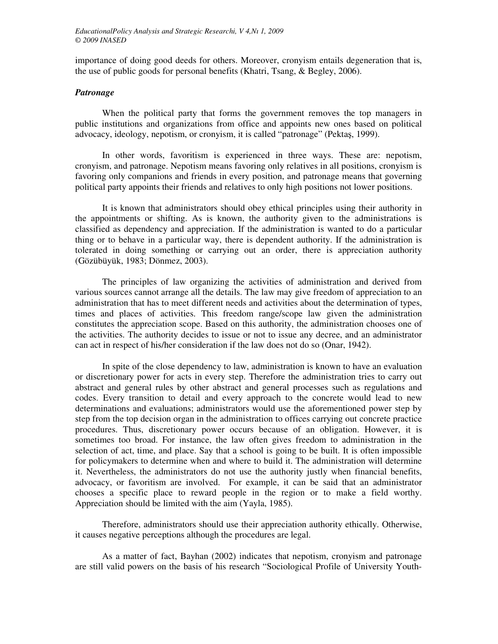importance of doing good deeds for others. Moreover, cronyism entails degeneration that is, the use of public goods for personal benefits (Khatri, Tsang, & Begley, 2006).

## *Patronage*

When the political party that forms the government removes the top managers in public institutions and organizations from office and appoints new ones based on political advocacy, ideology, nepotism, or cronyism, it is called "patronage" (Pektaş, 1999).

In other words, favoritism is experienced in three ways. These are: nepotism, cronyism, and patronage. Nepotism means favoring only relatives in all positions, cronyism is favoring only companions and friends in every position, and patronage means that governing political party appoints their friends and relatives to only high positions not lower positions.

It is known that administrators should obey ethical principles using their authority in the appointments or shifting. As is known, the authority given to the administrations is classified as dependency and appreciation. If the administration is wanted to do a particular thing or to behave in a particular way, there is dependent authority. If the administration is tolerated in doing something or carrying out an order, there is appreciation authority (Gözübüyük, 1983; Dönmez, 2003).

The principles of law organizing the activities of administration and derived from various sources cannot arrange all the details. The law may give freedom of appreciation to an administration that has to meet different needs and activities about the determination of types, times and places of activities. This freedom range/scope law given the administration constitutes the appreciation scope. Based on this authority, the administration chooses one of the activities. The authority decides to issue or not to issue any decree, and an administrator can act in respect of his/her consideration if the law does not do so (Onar, 1942).

In spite of the close dependency to law, administration is known to have an evaluation or discretionary power for acts in every step. Therefore the administration tries to carry out abstract and general rules by other abstract and general processes such as regulations and codes. Every transition to detail and every approach to the concrete would lead to new determinations and evaluations; administrators would use the aforementioned power step by step from the top decision organ in the administration to offices carrying out concrete practice procedures. Thus, discretionary power occurs because of an obligation. However, it is sometimes too broad. For instance, the law often gives freedom to administration in the selection of act, time, and place. Say that a school is going to be built. It is often impossible for policymakers to determine when and where to build it. The administration will determine it. Nevertheless, the administrators do not use the authority justly when financial benefits, advocacy, or favoritism are involved. For example, it can be said that an administrator chooses a specific place to reward people in the region or to make a field worthy. Appreciation should be limited with the aim (Yayla, 1985).

Therefore, administrators should use their appreciation authority ethically. Otherwise, it causes negative perceptions although the procedures are legal.

As a matter of fact, Bayhan (2002) indicates that nepotism, cronyism and patronage are still valid powers on the basis of his research "Sociological Profile of University Youth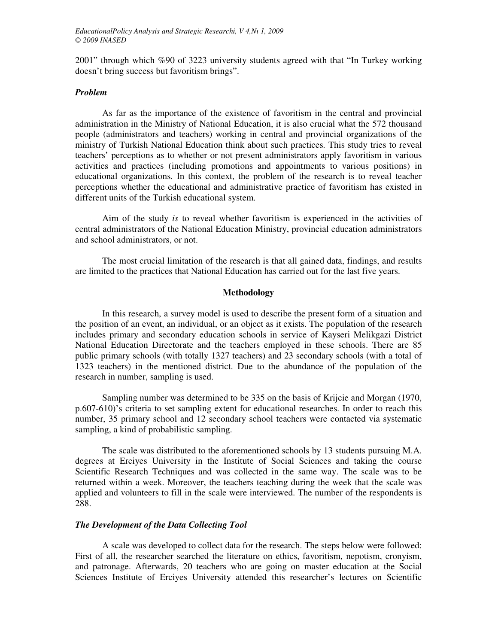2001" through which %90 of 3223 university students agreed with that "In Turkey working doesn't bring success but favoritism brings".

## *Problem*

As far as the importance of the existence of favoritism in the central and provincial administration in the Ministry of National Education, it is also crucial what the 572 thousand people (administrators and teachers) working in central and provincial organizations of the ministry of Turkish National Education think about such practices. This study tries to reveal teachers' perceptions as to whether or not present administrators apply favoritism in various activities and practices (including promotions and appointments to various positions) in educational organizations. In this context, the problem of the research is to reveal teacher perceptions whether the educational and administrative practice of favoritism has existed in different units of the Turkish educational system.

Aim of the study *is* to reveal whether favoritism is experienced in the activities of central administrators of the National Education Ministry, provincial education administrators and school administrators, or not.

The most crucial limitation of the research is that all gained data, findings, and results are limited to the practices that National Education has carried out for the last five years.

# **Methodology**

In this research, a survey model is used to describe the present form of a situation and the position of an event, an individual, or an object as it exists. The population of the research includes primary and secondary education schools in service of Kayseri Melikgazi District National Education Directorate and the teachers employed in these schools. There are 85 public primary schools (with totally 1327 teachers) and 23 secondary schools (with a total of 1323 teachers) in the mentioned district. Due to the abundance of the population of the research in number, sampling is used.

Sampling number was determined to be 335 on the basis of Krijcie and Morgan (1970, p.607-610)'s criteria to set sampling extent for educational researches. In order to reach this number, 35 primary school and 12 secondary school teachers were contacted via systematic sampling, a kind of probabilistic sampling.

The scale was distributed to the aforementioned schools by 13 students pursuing M.A. degrees at Erciyes University in the Institute of Social Sciences and taking the course Scientific Research Techniques and was collected in the same way. The scale was to be returned within a week. Moreover, the teachers teaching during the week that the scale was applied and volunteers to fill in the scale were interviewed. The number of the respondents is 288.

## *The Development of the Data Collecting Tool*

A scale was developed to collect data for the research. The steps below were followed: First of all, the researcher searched the literature on ethics, favoritism, nepotism, cronyism, and patronage. Afterwards, 20 teachers who are going on master education at the Social Sciences Institute of Erciyes University attended this researcher's lectures on Scientific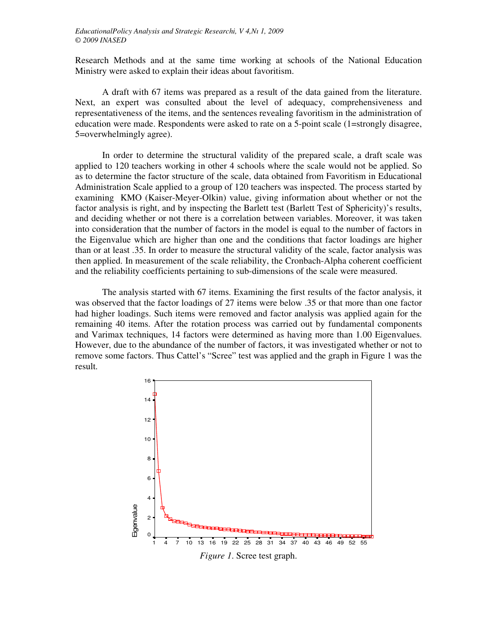Research Methods and at the same time working at schools of the National Education Ministry were asked to explain their ideas about favoritism.

A draft with 67 items was prepared as a result of the data gained from the literature. Next, an expert was consulted about the level of adequacy, comprehensiveness and representativeness of the items, and the sentences revealing favoritism in the administration of education were made. Respondents were asked to rate on a 5-point scale (1=strongly disagree, 5=overwhelmingly agree).

In order to determine the structural validity of the prepared scale, a draft scale was applied to 120 teachers working in other 4 schools where the scale would not be applied. So as to determine the factor structure of the scale, data obtained from Favoritism in Educational Administration Scale applied to a group of 120 teachers was inspected. The process started by examining KMO (Kaiser-Meyer-Olkin) value, giving information about whether or not the factor analysis is right, and by inspecting the Barlett test (Barlett Test of Sphericity)'s results, and deciding whether or not there is a correlation between variables. Moreover, it was taken into consideration that the number of factors in the model is equal to the number of factors in the Eigenvalue which are higher than one and the conditions that factor loadings are higher than or at least .35. In order to measure the structural validity of the scale, factor analysis was then applied. In measurement of the scale reliability, the Cronbach-Alpha coherent coefficient and the reliability coefficients pertaining to sub-dimensions of the scale were measured.

The analysis started with 67 items. Examining the first results of the factor analysis, it was observed that the factor loadings of 27 items were below .35 or that more than one factor had higher loadings. Such items were removed and factor analysis was applied again for the remaining 40 items. After the rotation process was carried out by fundamental components and Varimax techniques, 14 factors were determined as having more than 1.00 Eigenvalues. However, due to the abundance of the number of factors, it was investigated whether or not to remove some factors. Thus Cattel's "Scree" test was applied and the graph in Figure 1 was the result.

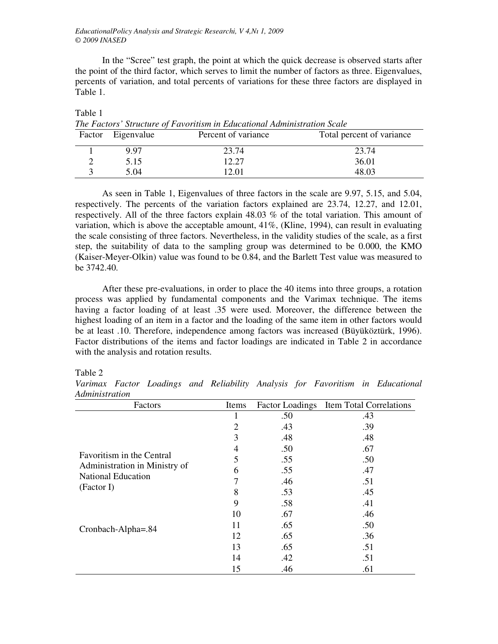In the "Scree" test graph, the point at which the quick decrease is observed starts after the point of the third factor, which serves to limit the number of factors as three. Eigenvalues, percents of variation, and total percents of variations for these three factors are displayed in Table 1.

| Factor Eigenvalue | Percent of variance | Total percent of variance |
|-------------------|---------------------|---------------------------|
| 997               | 23.74               | 23.74                     |
| 5.15              | 12.27               | 36.01                     |
| 5.04              | 12.01               | 48.03                     |

Table 1 *The Factors' Structure of Favoritism in Educational Administration Scale* 

As seen in Table 1, Eigenvalues of three factors in the scale are 9.97, 5.15, and 5.04, respectively. The percents of the variation factors explained are 23.74, 12.27, and 12.01, respectively. All of the three factors explain 48.03 % of the total variation. This amount of variation, which is above the acceptable amount, 41%, (Kline, 1994), can result in evaluating the scale consisting of three factors. Nevertheless, in the validity studies of the scale, as a first step, the suitability of data to the sampling group was determined to be 0.000, the KMO (Kaiser-Meyer-Olkin) value was found to be 0.84, and the Barlett Test value was measured to be 3742.40.

After these pre-evaluations, in order to place the 40 items into three groups, a rotation process was applied by fundamental components and the Varimax technique. The items having a factor loading of at least .35 were used. Moreover, the difference between the highest loading of an item in a factor and the loading of the same item in other factors would be at least .10. Therefore, independence among factors was increased (Büyüköztürk, 1996). Factor distributions of the items and factor loadings are indicated in Table 2 in accordance with the analysis and rotation results.

#### Table 2

*Varimax Factor Loadings and Reliability Analysis for Favoritism in Educational Administration* 

| Factors                       | Items |     | Factor Loadings Item Total Correlations |
|-------------------------------|-------|-----|-----------------------------------------|
|                               | 1     | .50 | .43                                     |
|                               | 2     | .43 | .39                                     |
|                               | 3     | .48 | .48                                     |
|                               | 4     | .50 | .67                                     |
| Favoritism in the Central     | 5     | .55 | .50                                     |
| Administration in Ministry of | 6     | .55 | .47                                     |
| <b>National Education</b>     |       | .46 | .51                                     |
| (Factor I)                    | 8     | .53 | .45                                     |
|                               | 9     | .58 | .41                                     |
|                               | 10    | .67 | .46                                     |
| Cronbach-Alpha=.84            | 11    | .65 | .50                                     |
|                               | 12    | .65 | .36                                     |
|                               | 13    | .65 | .51                                     |
|                               | 14    | .42 | .51                                     |
|                               | 15    | .46 | .61                                     |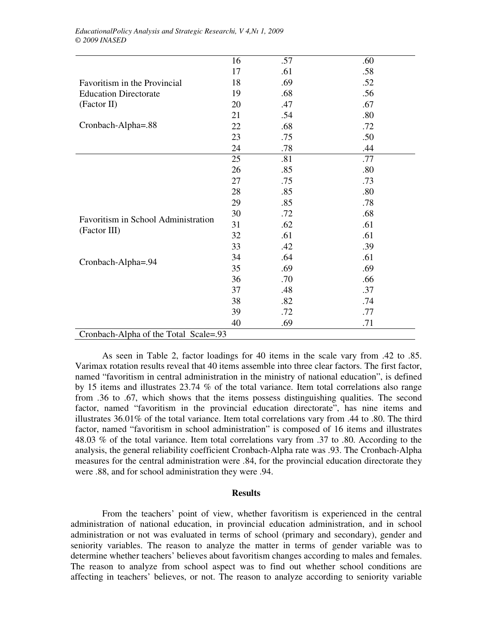|                                       | 16 | .57 | .60 |
|---------------------------------------|----|-----|-----|
|                                       | 17 | .61 | .58 |
| Favoritism in the Provincial          | 18 | .69 | .52 |
| <b>Education Directorate</b>          | 19 | .68 | .56 |
| (Factor II)                           | 20 | .47 | .67 |
|                                       | 21 | .54 | .80 |
| Cronbach-Alpha=.88                    | 22 | .68 | .72 |
|                                       | 23 | .75 | .50 |
|                                       | 24 | .78 | .44 |
|                                       | 25 | .81 | .77 |
|                                       | 26 | .85 | .80 |
|                                       | 27 | .75 | .73 |
|                                       | 28 | .85 | .80 |
|                                       | 29 | .85 | .78 |
|                                       | 30 | .72 | .68 |
| Favoritism in School Administration   | 31 | .62 | .61 |
| (Factor III)                          | 32 | .61 | .61 |
|                                       | 33 | .42 | .39 |
| Cronbach-Alpha=.94                    | 34 | .64 | .61 |
|                                       | 35 | .69 | .69 |
|                                       | 36 | .70 | .66 |
|                                       | 37 | .48 | .37 |
|                                       | 38 | .82 | .74 |
|                                       | 39 | .72 | .77 |
|                                       | 40 | .69 | .71 |
| Cronbach-Alpha of the Total Scale=.93 |    |     |     |

As seen in Table 2, factor loadings for 40 items in the scale vary from .42 to .85. Varimax rotation results reveal that 40 items assemble into three clear factors. The first factor, named "favoritism in central administration in the ministry of national education", is defined by 15 items and illustrates 23.74 % of the total variance. Item total correlations also range from .36 to .67, which shows that the items possess distinguishing qualities. The second factor, named "favoritism in the provincial education directorate", has nine items and illustrates 36.01% of the total variance. Item total correlations vary from .44 to .80. The third factor, named "favoritism in school administration" is composed of 16 items and illustrates 48.03 % of the total variance. Item total correlations vary from .37 to .80. According to the analysis, the general reliability coefficient Cronbach-Alpha rate was .93. The Cronbach-Alpha measures for the central administration were .84, for the provincial education directorate they were .88, and for school administration they were .94.

#### **Results**

From the teachers' point of view, whether favoritism is experienced in the central administration of national education, in provincial education administration, and in school administration or not was evaluated in terms of school (primary and secondary), gender and seniority variables. The reason to analyze the matter in terms of gender variable was to determine whether teachers' believes about favoritism changes according to males and females. The reason to analyze from school aspect was to find out whether school conditions are affecting in teachers' believes, or not. The reason to analyze according to seniority variable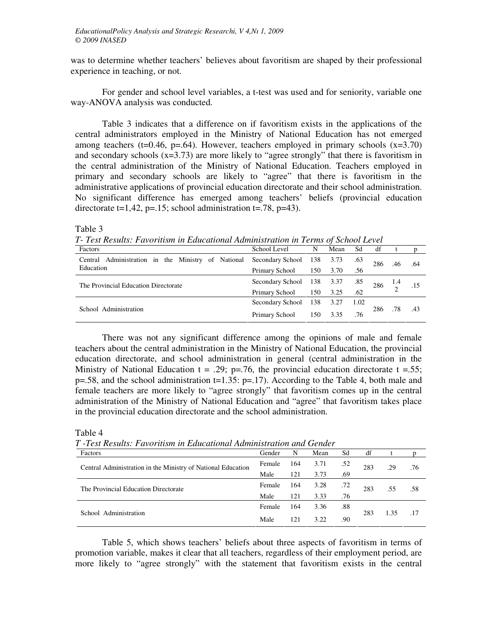was to determine whether teachers' believes about favoritism are shaped by their professional experience in teaching, or not.

For gender and school level variables, a t-test was used and for seniority, variable one way-ANOVA analysis was conducted.

Table 3 indicates that a difference on if favoritism exists in the applications of the central administrators employed in the Ministry of National Education has not emerged among teachers (t=0.46, p=.64). However, teachers employed in primary schools  $(x=3.70)$ and secondary schools  $(x=3.73)$  are more likely to "agree strongly" that there is favoritism in the central administration of the Ministry of National Education. Teachers employed in primary and secondary schools are likely to "agree" that there is favoritism in the administrative applications of provincial education directorate and their school administration. No significant difference has emerged among teachers' beliefs (provincial education directorate  $t=1,42$ ,  $p=.15$ ; school administration  $t=.78$ ,  $p=43$ ).

Table 3

*T- Test Results: Favoritism in Educational Administration in Terms of School Level* 

| Factors                                                             | School Level     | N   | Mean | Sd   | df  |     |     |
|---------------------------------------------------------------------|------------------|-----|------|------|-----|-----|-----|
| Central Administration in the Ministry of National Secondary School |                  | 138 | 3.73 | .63  | 286 |     | .64 |
| Education                                                           | Primary School   | 150 | 3.70 | .56  |     |     |     |
| The Provincial Education Directorate                                | Secondary School | 138 | 3.37 | .85  | 286 |     |     |
|                                                                     | Primary School   | 150 | 3.25 | .62  |     |     |     |
|                                                                     | Secondary School | 138 | 3.27 | 1.02 |     |     |     |
| School Administration                                               | Primary School   | 150 | 3.35 | .76  | 286 | .78 | .43 |

There was not any significant difference among the opinions of male and female teachers about the central administration in the Ministry of National Education, the provincial education directorate, and school administration in general (central administration in the Ministry of National Education  $t = .29$ ; p=.76, the provincial education directorate  $t = .55$ ;  $p=.58$ , and the school administration t=1.35:  $p=.17$ ). According to the Table 4, both male and female teachers are more likely to "agree strongly" that favoritism comes up in the central administration of the Ministry of National Education and "agree" that favoritism takes place in the provincial education directorate and the school administration.

| 1 - Lest Results: Favoritism in Educational Administration and Gender |        |     |      |     |     |      |     |
|-----------------------------------------------------------------------|--------|-----|------|-----|-----|------|-----|
| Factors                                                               | Gender | N   | Mean | Sd  | df  |      |     |
| Central Administration in the Ministry of National Education          | Female | 164 | 3.71 | .52 | 283 | .29  | .76 |
|                                                                       | Male   | 121 | 3.73 | .69 |     |      |     |
| The Provincial Education Directorate                                  | Female | 164 | 3.28 | .72 | 283 | .55  | .58 |
|                                                                       | Male   | 121 | 3.33 | .76 |     |      |     |
| School Administration                                                 |        | 164 | 3.36 | .88 |     |      |     |
|                                                                       |        | 121 | 3.22 | .90 | 283 | 1.35 | .17 |

Table 4 *T -Test Results: Favoritism in Educational Administration and Gender* 

Table 5, which shows teachers' beliefs about three aspects of favoritism in terms of promotion variable, makes it clear that all teachers, regardless of their employment period, are more likely to "agree strongly" with the statement that favoritism exists in the central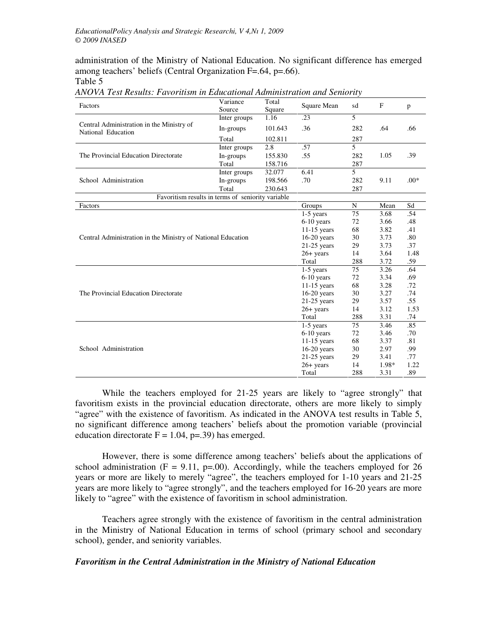administration of the Ministry of National Education. No significant difference has emerged among teachers' beliefs (Central Organization F=.64, p=.66).

Table 5

| Factors                                                      | Variance<br>Source | Total<br>Square | Square Mean   | sd  | F     | p      |
|--------------------------------------------------------------|--------------------|-----------------|---------------|-----|-------|--------|
|                                                              | Inter groups       | 1.16            | .23           | 5   |       |        |
| National Education                                           | In-groups          | 101.643         | .36           | 282 | .64   | .66    |
| Central Administration in the Ministry of                    | Total              | 102.811         |               | 287 |       |        |
|                                                              | Inter groups       | 2.8             | .57           | 5   |       |        |
| The Provincial Education Directorate                         | In-groups          | 155.830         | .55           | 282 | 1.05  | .39    |
|                                                              | Total              | 158.716         |               | 287 |       |        |
|                                                              | Inter groups       | 32.077          | 6.41          | 5   |       |        |
| School Administration                                        | In-groups          | 198.566         | .70           | 282 | 9.11  | $.00*$ |
|                                                              | Total              | 230.643         |               | 287 |       |        |
| Favoritism results in terms of seniority variable            |                    |                 |               |     |       |        |
| Factors                                                      |                    |                 | Groups        | N   | Mean  | Sd     |
|                                                              |                    |                 | $1-5$ years   | 75  | 3.68  | .54    |
|                                                              |                    |                 |               | 72  | 3.66  | .48    |
|                                                              |                    |                 | $11-15$ years | 68  | 3.82  | .41    |
| Central Administration in the Ministry of National Education |                    |                 | $16-20$ years | 30  | 3.73  | .80    |
|                                                              |                    |                 | $21-25$ years | 29  | 3.73  | .37    |
|                                                              |                    |                 | $26+$ years   | 14  | 3.64  | 1.48   |
|                                                              |                    |                 | Total         | 288 | 3.72  | .59    |
|                                                              |                    |                 | $1-5$ years   | 75  | 3.26  | .64    |
|                                                              |                    |                 | $6-10$ years  | 72  | 3.34  | .69    |
|                                                              |                    |                 | $11-15$ years | 68  | 3.28  | .72    |
| The Provincial Education Directorate                         |                    |                 | $16-20$ years | 30  | 3.27  | .74    |
|                                                              |                    |                 | $21-25$ years | 29  | 3.57  | .55    |
|                                                              |                    |                 | $26+$ years   | 14  | 3.12  | 1.53   |
|                                                              |                    |                 | Total         | 288 | 3.31  | .74    |
|                                                              |                    |                 | $1-5$ years   | 75  | 3.46  | .85    |
| School Administration                                        |                    |                 | $6-10$ years  | 72  | 3.46  | .70    |
|                                                              |                    |                 | $11-15$ years | 68  | 3.37  | .81    |
|                                                              |                    |                 | $16-20$ years | 30  | 2.97  | .99    |
|                                                              |                    |                 | $21-25$ years | 29  | 3.41  | .77    |
|                                                              |                    |                 | $26+$ years   | 14  | 1.98* | 1.22   |
|                                                              |                    |                 | Total         | 288 | 3.31  | .89    |

*ANOVA Test Results: Favoritism in Educational Administration and Seniority* 

While the teachers employed for 21-25 years are likely to "agree strongly" that favoritism exists in the provincial education directorate, others are more likely to simply "agree" with the existence of favoritism. As indicated in the ANOVA test results in Table 5, no significant difference among teachers' beliefs about the promotion variable (provincial education directorate  $F = 1.04$ , p=.39) has emerged.

However, there is some difference among teachers' beliefs about the applications of school administration ( $F = 9.11$ ,  $p=00$ ). Accordingly, while the teachers employed for 26 years or more are likely to merely "agree", the teachers employed for 1-10 years and 21-25 years are more likely to "agree strongly", and the teachers employed for 16-20 years are more likely to "agree" with the existence of favoritism in school administration.

Teachers agree strongly with the existence of favoritism in the central administration in the Ministry of National Education in terms of school (primary school and secondary school), gender, and seniority variables.

# *Favoritism in the Central Administration in the Ministry of National Education*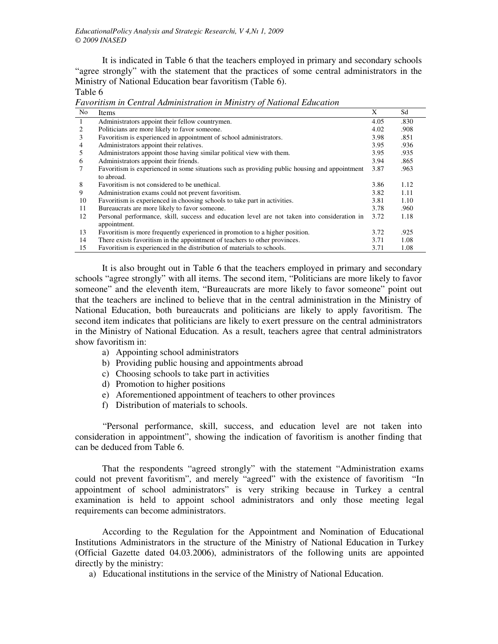It is indicated in Table 6 that the teachers employed in primary and secondary schools "agree strongly" with the statement that the practices of some central administrators in the Ministry of National Education bear favoritism (Table 6).

Table 6

*Favoritism in Central Administration in Ministry of National Education* 

| No.            | Items                                                                                         | X    | Sd   |
|----------------|-----------------------------------------------------------------------------------------------|------|------|
| $\overline{1}$ | Administrators appoint their fellow countrymen.                                               | 4.05 | .830 |
| 2              | Politicians are more likely to favor someone.                                                 | 4.02 | .908 |
| 3              | Favoritism is experienced in appointment of school administrators.                            | 3.98 | .851 |
| $\overline{4}$ | Administrators appoint their relatives.                                                       | 3.95 | .936 |
| 5              | Administrators appoint those having similar political view with them.                         | 3.95 | .935 |
| 6              | Administrators appoint their friends.                                                         | 3.94 | .865 |
|                | Favoritism is experienced in some situations such as providing public housing and appointment | 3.87 | .963 |
|                | to abroad.                                                                                    |      |      |
| 8              | Favoritism is not considered to be unethical.                                                 | 3.86 | 1.12 |
| 9              | Administration exams could not prevent favoritism.                                            | 3.82 | 1.11 |
| 10             | Favoritism is experienced in choosing schools to take part in activities.                     | 3.81 | 1.10 |
| 11             | Bureaucrats are more likely to favor someone.                                                 | 3.78 | .960 |
| 12             | Personal performance, skill, success and education level are not taken into consideration in  | 3.72 | 1.18 |
|                | appointment.                                                                                  |      |      |
| 13             | Favoritism is more frequently experienced in promotion to a higher position.                  | 3.72 | .925 |
| 14             | There exists favoritism in the appointment of teachers to other provinces.                    | 3.71 | 1.08 |
| 15             | Favoritism is experienced in the distribution of materials to schools.                        | 3.71 | 1.08 |

It is also brought out in Table 6 that the teachers employed in primary and secondary schools "agree strongly" with all items. The second item, "Politicians are more likely to favor someone" and the eleventh item, "Bureaucrats are more likely to favor someone" point out that the teachers are inclined to believe that in the central administration in the Ministry of National Education, both bureaucrats and politicians are likely to apply favoritism. The second item indicates that politicians are likely to exert pressure on the central administrators in the Ministry of National Education. As a result, teachers agree that central administrators show favoritism in:

- a) Appointing school administrators
- b) Providing public housing and appointments abroad
- c) Choosing schools to take part in activities
- d) Promotion to higher positions
- e) Aforementioned appointment of teachers to other provinces
- f) Distribution of materials to schools.

"Personal performance, skill, success, and education level are not taken into consideration in appointment", showing the indication of favoritism is another finding that can be deduced from Table 6.

 That the respondents "agreed strongly" with the statement "Administration exams could not prevent favoritism", and merely "agreed" with the existence of favoritism "In appointment of school administrators" is very striking because in Turkey a central examination is held to appoint school administrators and only those meeting legal requirements can become administrators.

 According to the Regulation for the Appointment and Nomination of Educational Institutions Administrators in the structure of the Ministry of National Education in Turkey (Official Gazette dated 04.03.2006), administrators of the following units are appointed directly by the ministry:

a) Educational institutions in the service of the Ministry of National Education.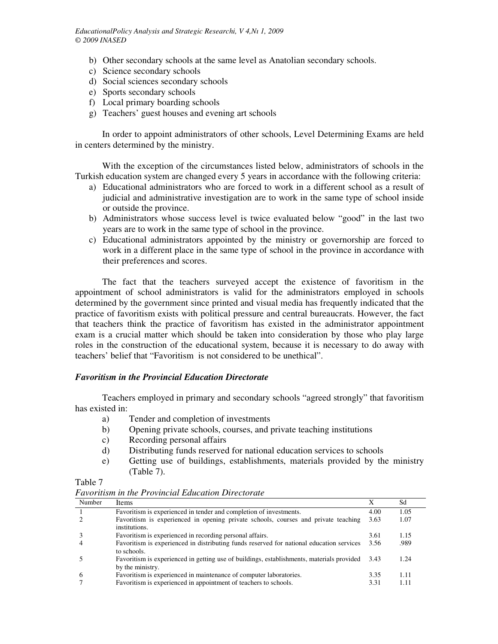- b) Other secondary schools at the same level as Anatolian secondary schools.
- c) Science secondary schools
- d) Social sciences secondary schools
- e) Sports secondary schools
- f) Local primary boarding schools
- g) Teachers' guest houses and evening art schools

 In order to appoint administrators of other schools, Level Determining Exams are held in centers determined by the ministry.

 With the exception of the circumstances listed below, administrators of schools in the Turkish education system are changed every 5 years in accordance with the following criteria:

- a) Educational administrators who are forced to work in a different school as a result of judicial and administrative investigation are to work in the same type of school inside or outside the province.
- b) Administrators whose success level is twice evaluated below "good" in the last two years are to work in the same type of school in the province.
- c) Educational administrators appointed by the ministry or governorship are forced to work in a different place in the same type of school in the province in accordance with their preferences and scores.

 The fact that the teachers surveyed accept the existence of favoritism in the appointment of school administrators is valid for the administrators employed in schools determined by the government since printed and visual media has frequently indicated that the practice of favoritism exists with political pressure and central bureaucrats. However, the fact that teachers think the practice of favoritism has existed in the administrator appointment exam is a crucial matter which should be taken into consideration by those who play large roles in the construction of the educational system, because it is necessary to do away with teachers' belief that "Favoritism is not considered to be unethical".

## *Favoritism in the Provincial Education Directorate*

 Teachers employed in primary and secondary schools "agreed strongly" that favoritism has existed in:

- a) Tender and completion of investments
- b) Opening private schools, courses, and private teaching institutions
- c) Recording personal affairs
- d) Distributing funds reserved for national education services to schools
- e) Getting use of buildings, establishments, materials provided by the ministry (Table 7).

*Favoritism in the Provincial Education Directorate* 

Table 7

| Number         | Items                                                                                                              | X    | Sd   |
|----------------|--------------------------------------------------------------------------------------------------------------------|------|------|
|                | Favoritism is experienced in tender and completion of investments.                                                 | 4.00 | 1.05 |
|                | Favoritism is experienced in opening private schools, courses and private teaching<br>institutions.                | 3.63 | 1.07 |
|                | Favoritism is experienced in recording personal affairs.                                                           | 3.61 | 1.15 |
| $\overline{4}$ | Favoritism is experienced in distributing funds reserved for national education services<br>to schools.            | 3.56 | .989 |
|                | Favoritism is experienced in getting use of buildings, establishments, materials provided 3.43<br>by the ministry. |      | 1.24 |
| -6             | Favoritism is experienced in maintenance of computer laboratories.                                                 | 3.35 | 1.11 |
|                | Favoritism is experienced in appointment of teachers to schools.                                                   | 3.31 | 1.11 |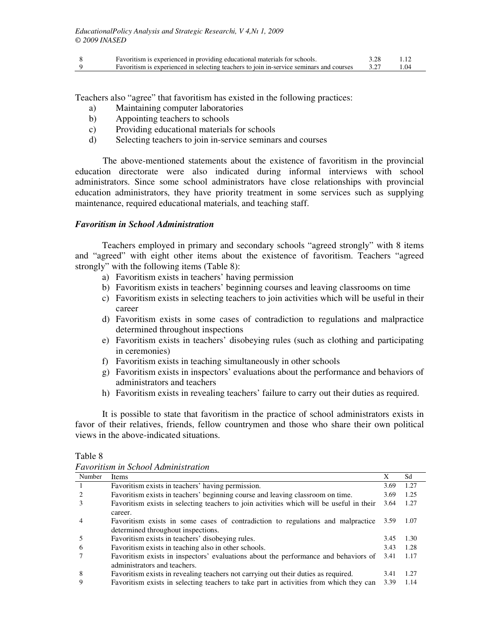| Favoritism is experienced in providing educational materials for schools.               |      |
|-----------------------------------------------------------------------------------------|------|
| Favoritism is experienced in selecting teachers to join in-service seminars and courses | 1.04 |

Teachers also "agree" that favoritism has existed in the following practices:

- a) Maintaining computer laboratories
- b) Appointing teachers to schools
- c) Providing educational materials for schools
- d) Selecting teachers to join in-service seminars and courses

The above-mentioned statements about the existence of favoritism in the provincial education directorate were also indicated during informal interviews with school administrators. Since some school administrators have close relationships with provincial education administrators, they have priority treatment in some services such as supplying maintenance, required educational materials, and teaching staff.

## *Favoritism in School Administration*

 Teachers employed in primary and secondary schools "agreed strongly" with 8 items and "agreed" with eight other items about the existence of favoritism. Teachers "agreed strongly" with the following items (Table 8):

- a) Favoritism exists in teachers' having permission
- b) Favoritism exists in teachers' beginning courses and leaving classrooms on time
- c) Favoritism exists in selecting teachers to join activities which will be useful in their career
- d) Favoritism exists in some cases of contradiction to regulations and malpractice determined throughout inspections
- e) Favoritism exists in teachers' disobeying rules (such as clothing and participating in ceremonies)
- f) Favoritism exists in teaching simultaneously in other schools
- g) Favoritism exists in inspectors' evaluations about the performance and behaviors of administrators and teachers
- h) Favoritism exists in revealing teachers' failure to carry out their duties as required.

 It is possible to state that favoritism in the practice of school administrators exists in favor of their relatives, friends, fellow countrymen and those who share their own political views in the above-indicated situations.

### Table 8

*Favoritism in School Administration* 

| Number | Items                                                                                    | X    | Sd   |
|--------|------------------------------------------------------------------------------------------|------|------|
|        | Favoritism exists in teachers' having permission.                                        | 3.69 | 1.27 |
|        | Favoritism exists in teachers' beginning course and leaving classroom on time.           | 3.69 | 1.25 |
| 3      | Favoritism exists in selecting teachers to join activities which will be useful in their | 3.64 | 1.27 |
|        | career.                                                                                  |      |      |
| 4      | Favoritism exists in some cases of contradiction to regulations and malpractice 3.59     |      | 1.07 |
|        | determined throughout inspections.                                                       |      |      |
|        | Favoritism exists in teachers' disobeying rules.                                         | 3.45 | 1.30 |
| 6      | Favoritism exists in teaching also in other schools.                                     | 3.43 | 1.28 |
|        | Favoritism exists in inspectors' evaluations about the performance and behaviors of      | 3.41 | 1.17 |
|        | administrators and teachers.                                                             |      |      |
| 8      | Favoritism exists in revealing teachers not carrying out their duties as required.       | 3.41 | 1.27 |
| 9      | Favoritism exists in selecting teachers to take part in activities from which they can   | 3.39 | 1.14 |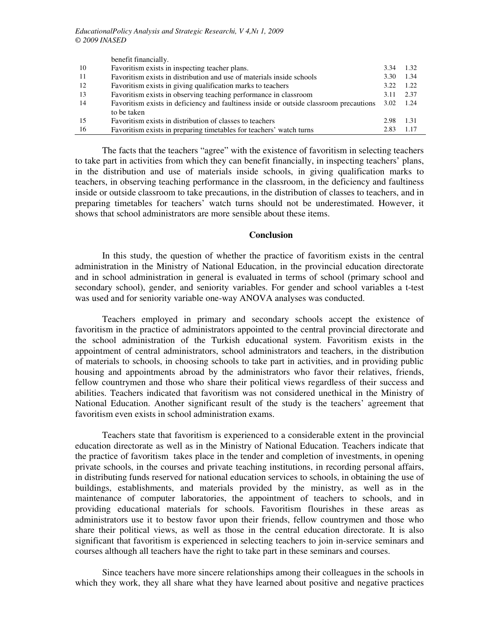|     | benefit financially.                                                                   |                   |      |
|-----|----------------------------------------------------------------------------------------|-------------------|------|
| -10 | Favoritism exists in inspecting teacher plans.                                         | 3.34              | 1.32 |
| -11 | Favoritism exists in distribution and use of materials inside schools                  | 3.30              | 1.34 |
| 12  | Favoritism exists in giving qualification marks to teachers                            | 3.22              | 1.22 |
| -13 | Favoritism exists in observing teaching performance in classroom                       | 3.11              | 2.37 |
| 14  | Favoritism exists in deficiency and faultiness inside or outside classroom precautions | $3.02 \quad 1.24$ |      |
|     | to be taken                                                                            |                   |      |
| 15  | Favoritism exists in distribution of classes to teachers                               | 2.98              | 1.31 |
| -16 | Favoritism exists in preparing timetables for teachers' watch turns                    | 2.83              | 1.17 |

 The facts that the teachers "agree" with the existence of favoritism in selecting teachers to take part in activities from which they can benefit financially, in inspecting teachers' plans, in the distribution and use of materials inside schools, in giving qualification marks to teachers, in observing teaching performance in the classroom, in the deficiency and faultiness inside or outside classroom to take precautions, in the distribution of classes to teachers, and in preparing timetables for teachers' watch turns should not be underestimated. However, it shows that school administrators are more sensible about these items.

#### **Conclusion**

 In this study, the question of whether the practice of favoritism exists in the central administration in the Ministry of National Education, in the provincial education directorate and in school administration in general is evaluated in terms of school (primary school and secondary school), gender, and seniority variables. For gender and school variables a t-test was used and for seniority variable one-way ANOVA analyses was conducted.

 Teachers employed in primary and secondary schools accept the existence of favoritism in the practice of administrators appointed to the central provincial directorate and the school administration of the Turkish educational system. Favoritism exists in the appointment of central administrators, school administrators and teachers, in the distribution of materials to schools, in choosing schools to take part in activities, and in providing public housing and appointments abroad by the administrators who favor their relatives, friends, fellow countrymen and those who share their political views regardless of their success and abilities. Teachers indicated that favoritism was not considered unethical in the Ministry of National Education. Another significant result of the study is the teachers' agreement that favoritism even exists in school administration exams.

 Teachers state that favoritism is experienced to a considerable extent in the provincial education directorate as well as in the Ministry of National Education. Teachers indicate that the practice of favoritism takes place in the tender and completion of investments, in opening private schools, in the courses and private teaching institutions, in recording personal affairs, in distributing funds reserved for national education services to schools, in obtaining the use of buildings, establishments, and materials provided by the ministry, as well as in the maintenance of computer laboratories, the appointment of teachers to schools, and in providing educational materials for schools. Favoritism flourishes in these areas as administrators use it to bestow favor upon their friends, fellow countrymen and those who share their political views, as well as those in the central education directorate. It is also significant that favoritism is experienced in selecting teachers to join in-service seminars and courses although all teachers have the right to take part in these seminars and courses.

 Since teachers have more sincere relationships among their colleagues in the schools in which they work, they all share what they have learned about positive and negative practices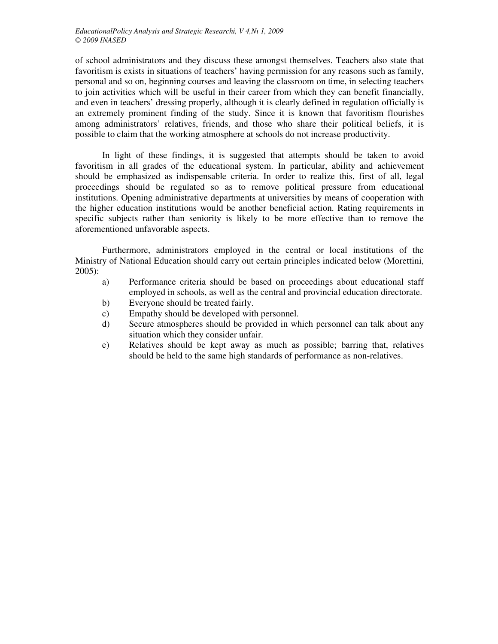of school administrators and they discuss these amongst themselves. Teachers also state that favoritism is exists in situations of teachers' having permission for any reasons such as family, personal and so on, beginning courses and leaving the classroom on time, in selecting teachers to join activities which will be useful in their career from which they can benefit financially, and even in teachers' dressing properly, although it is clearly defined in regulation officially is an extremely prominent finding of the study. Since it is known that favoritism flourishes among administrators' relatives, friends, and those who share their political beliefs, it is possible to claim that the working atmosphere at schools do not increase productivity.

 In light of these findings, it is suggested that attempts should be taken to avoid favoritism in all grades of the educational system. In particular, ability and achievement should be emphasized as indispensable criteria. In order to realize this, first of all, legal proceedings should be regulated so as to remove political pressure from educational institutions. Opening administrative departments at universities by means of cooperation with the higher education institutions would be another beneficial action. Rating requirements in specific subjects rather than seniority is likely to be more effective than to remove the aforementioned unfavorable aspects.

 Furthermore, administrators employed in the central or local institutions of the Ministry of National Education should carry out certain principles indicated below (Morettini, 2005):

- a) Performance criteria should be based on proceedings about educational staff employed in schools, as well as the central and provincial education directorate.
- b) Everyone should be treated fairly.
- c) Empathy should be developed with personnel.
- d) Secure atmospheres should be provided in which personnel can talk about any situation which they consider unfair.
- e) Relatives should be kept away as much as possible; barring that, relatives should be held to the same high standards of performance as non-relatives.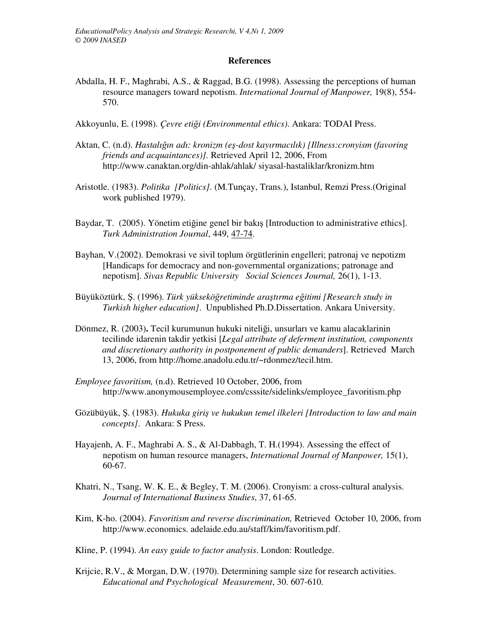## **References**

- Abdalla, H. F., Maghrabi, A.S., & Raggad, B.G. (1998). Assessing the perceptions of human resource managers toward nepotism. *International Journal of Manpower,* 19(8), 554- 570.
- Akkoyunlu, E. (1998). *Çevre eti*ğ*i (Environmental ethics)*. Ankara: TODAI Press.
- Aktan, C. (n.d). *Hastalı*ğ*ın adı: kronizm (e*ş*-dost kayırmacılık) [Illness:cronyism (favoring friends and acquaintances)].* Retrieved April 12, 2006, From http://www.canaktan.org/din-ahlak/ahlak/ siyasal-hastaliklar/kronizm.htm
- Aristotle. (1983). *Politika [Politics]*. (M.Tunçay, Trans.), Istanbul, Remzi Press.(Original work published 1979).
- Baydar, T. (2005). Yönetim etiğine genel bir bakış [Introduction to administrative ethics]. *Turk Administration Journal*, 449, 47-74.
- Bayhan, V.(2002). Demokrasi ve sivil toplum örgütlerinin engelleri; patronaj ve nepotizm [Handicaps for democracy and non-governmental organizations; patronage and nepotism]. *Sivas Republic University Social Sciences Journal,* 26(1), 1-13.
- Büyüköztürk, Ş. (1996). *Türk yüksekö*ğ*retiminde ara*ş*tırma e*ğ*itimi [Research study in Turkish higher education]*. Unpublished Ph.D.Dissertation. Ankara University.
- Dönmez, R. (2003)**.** Tecil kurumunun hukuki niteliği, unsurları ve kamu alacaklarinin tecilinde idarenin takdir yetkisi [*Legal attribute of deferment institution, components and discretionary authority in postponement of public demanders*]. Retrieved March 13, 2006, from http://home.anadolu.edu.tr/~rdonmez/tecil.htm.
- *Employee favoritism,* (n.d). Retrieved 10 October, 2006, from http://www.anonymousemployee.com/csssite/sidelinks/employee\_favoritism.php
- Gözübüyük, Ş. (1983). *Hukuka giri*ş *ve hukukun temel ilkeleri [Introduction to law and main concepts]*. Ankara: S Press.
- Hayajenh, A. F., Maghrabi A. S., & Al-Dabbagh, T. H.(1994). Assessing the effect of nepotism on human resource managers, *International Journal of Manpower,* 15(1), 60-67.
- Khatri, N., Tsang, W. K. E., & Begley, T. M. (2006). Cronyism: a cross-cultural analysis. *Journal of International Business Studies*, 37, 61-65.
- Kim, K-ho. (2004). *Favoritism and reverse discrimination,* Retrieved October 10, 2006, from http://www.economics. adelaide.edu.au/staff/kim/favoritism.pdf.
- Kline, P. (1994). *An easy guide to factor analysis*. London: Routledge.
- Krijcie, R.V., & Morgan, D.W. (1970). Determining sample size for research activities. *Educational and Psychological Measurement*, 30. 607-610.